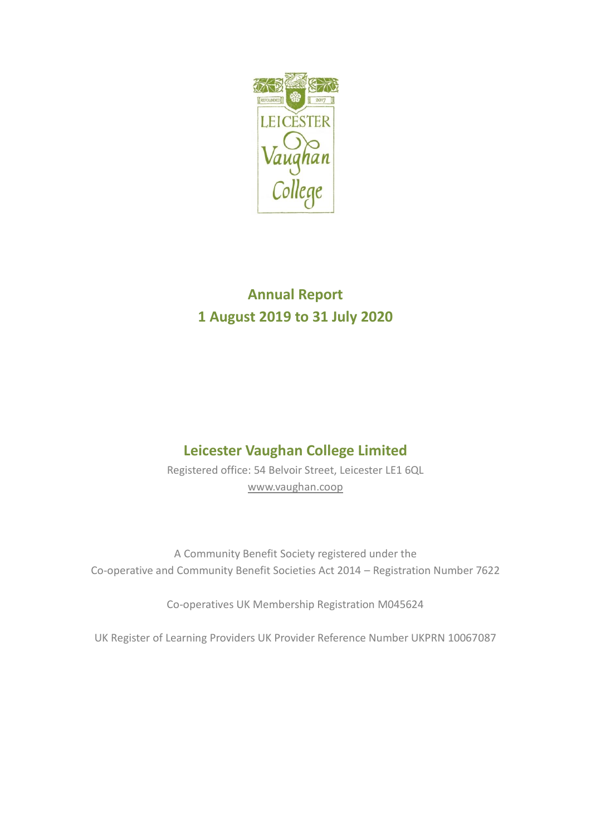

# **Annual Report 1 August 2019 to 31 July 2020**

# **Leicester Vaughan College Limited**

Registered office: 54 Belvoir Street, Leicester LE1 6QL [www.vaughan.coop](http://www.vaughan.coop/)

A Community Benefit Society registered under the Co-operative and Community Benefit Societies Act 2014 – Registration Number 7622

Co-operatives UK Membership Registration M045624

UK Register of Learning Providers UK Provider Reference Number UKPRN 10067087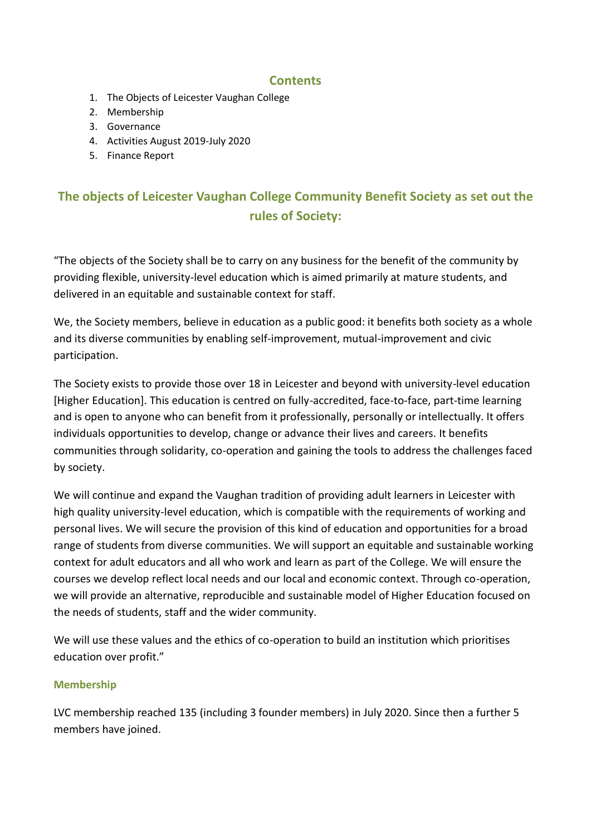## **Contents**

- 1. The Objects of Leicester Vaughan College
- 2. Membership
- 3. Governance
- 4. Activities August 2019-July 2020
- 5. Finance Report

# **The objects of Leicester Vaughan College Community Benefit Society as set out the rules of Society:**

"The objects of the Society shall be to carry on any business for the benefit of the community by providing flexible, university-level education which is aimed primarily at mature students, and delivered in an equitable and sustainable context for staff.

We, the Society members, believe in education as a public good: it benefits both society as a whole and its diverse communities by enabling self-improvement, mutual-improvement and civic participation.

The Society exists to provide those over 18 in Leicester and beyond with university-level education [Higher Education]. This education is centred on fully-accredited, face-to-face, part-time learning and is open to anyone who can benefit from it professionally, personally or intellectually. It offers individuals opportunities to develop, change or advance their lives and careers. It benefits communities through solidarity, co-operation and gaining the tools to address the challenges faced by society.

We will continue and expand the Vaughan tradition of providing adult learners in Leicester with high quality university-level education, which is compatible with the requirements of working and personal lives. We will secure the provision of this kind of education and opportunities for a broad range of students from diverse communities. We will support an equitable and sustainable working context for adult educators and all who work and learn as part of the College. We will ensure the courses we develop reflect local needs and our local and economic context. Through co-operation, we will provide an alternative, reproducible and sustainable model of Higher Education focused on the needs of students, staff and the wider community.

We will use these values and the ethics of co-operation to build an institution which prioritises education over profit."

### **Membership**

LVC membership reached 135 (including 3 founder members) in July 2020. Since then a further 5 members have joined.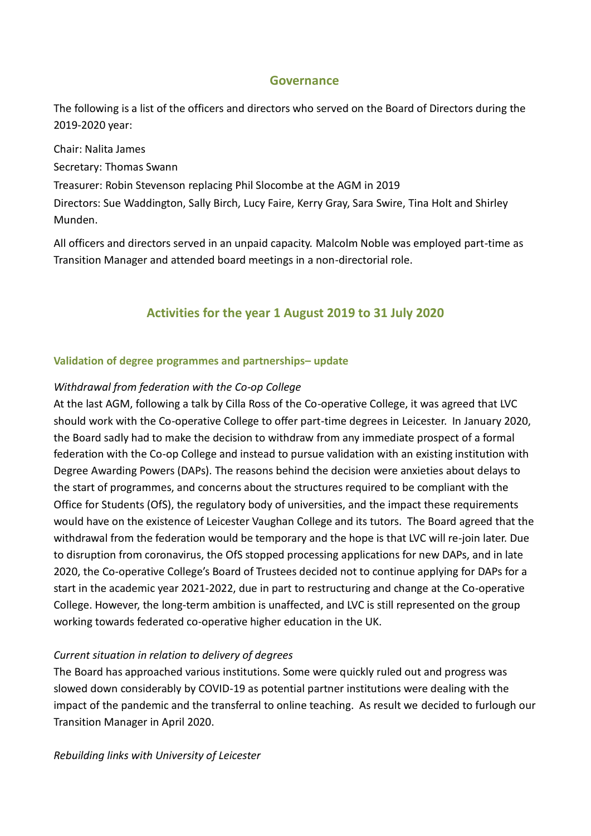### **Governance**

The following is a list of the officers and directors who served on the Board of Directors during the 2019-2020 year:

Chair: Nalita James

Secretary: Thomas Swann

Treasurer: Robin Stevenson replacing Phil Slocombe at the AGM in 2019

Directors: Sue Waddington, Sally Birch, Lucy Faire, Kerry Gray, Sara Swire, Tina Holt and Shirley Munden.

All officers and directors served in an unpaid capacity. Malcolm Noble was employed part-time as Transition Manager and attended board meetings in a non-directorial role.

## **Activities for the year 1 August 2019 to 31 July 2020**

### **Validation of degree programmes and partnerships– update**

### *Withdrawal from federation with the Co-op College*

At the last AGM, following a talk by Cilla Ross of the Co-operative College, it was agreed that LVC should work with the Co-operative College to offer part-time degrees in Leicester. In January 2020, the Board sadly had to make the decision to withdraw from any immediate prospect of a formal federation with the Co-op College and instead to pursue validation with an existing institution with Degree Awarding Powers (DAPs). The reasons behind the decision were anxieties about delays to the start of programmes, and concerns about the structures required to be compliant with the Office for Students (OfS), the regulatory body of universities, and the impact these requirements would have on the existence of Leicester Vaughan College and its tutors. The Board agreed that the withdrawal from the federation would be temporary and the hope is that LVC will re-join later. Due to disruption from coronavirus, the OfS stopped processing applications for new DAPs, and in late 2020, the Co-operative College's Board of Trustees decided not to continue applying for DAPs for a start in the academic year 2021-2022, due in part to restructuring and change at the Co-operative College. However, the long-term ambition is unaffected, and LVC is still represented on the group working towards federated co-operative higher education in the UK.

### *Current situation in relation to delivery of degrees*

The Board has approached various institutions. Some were quickly ruled out and progress was slowed down considerably by COVID-19 as potential partner institutions were dealing with the impact of the pandemic and the transferral to online teaching. As result we decided to furlough our Transition Manager in April 2020.

### *Rebuilding links with University of Leicester*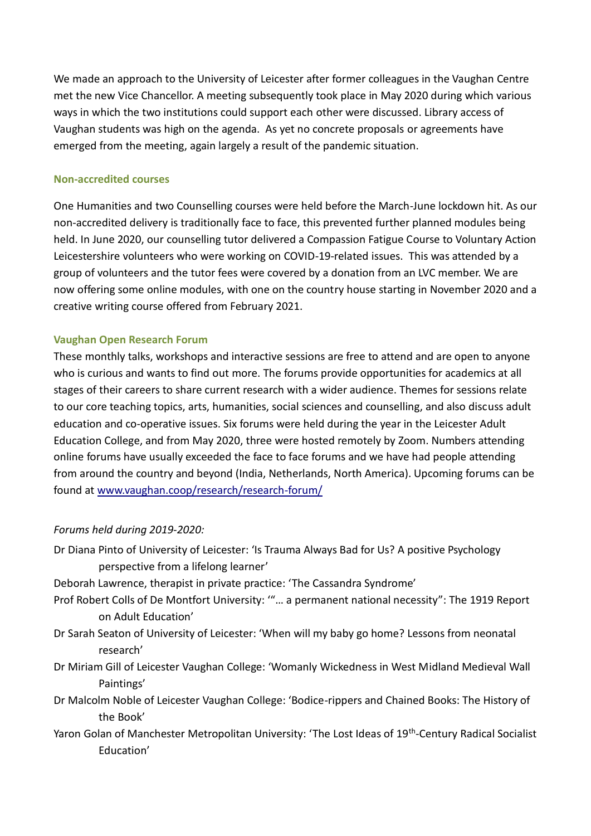We made an approach to the University of Leicester after former colleagues in the Vaughan Centre met the new Vice Chancellor. A meeting subsequently took place in May 2020 during which various ways in which the two institutions could support each other were discussed. Library access of Vaughan students was high on the agenda. As yet no concrete proposals or agreements have emerged from the meeting, again largely a result of the pandemic situation.

#### **Non-accredited courses**

One Humanities and two Counselling courses were held before the March-June lockdown hit. As our non-accredited delivery is traditionally face to face, this prevented further planned modules being held. In June 2020, our counselling tutor delivered a Compassion Fatigue Course to Voluntary Action Leicestershire volunteers who were working on COVID-19-related issues. This was attended by a group of volunteers and the tutor fees were covered by a donation from an LVC member. We are now offering some online modules, with one on the country house starting in November 2020 and a creative writing course offered from February 2021.

### **Vaughan Open Research Forum**

These monthly talks, workshops and interactive sessions are free to attend and are open to anyone who is curious and wants to find out more. The forums provide opportunities for academics at all stages of their careers to share current research with a wider audience. Themes for sessions relate to our core teaching topics, arts, humanities, social sciences and counselling, and also discuss adult education and co-operative issues. Six forums were held during the year in the Leicester Adult Education College, and from May 2020, three were hosted remotely by Zoom. Numbers attending online forums have usually exceeded the face to face forums and we have had people attending from around the country and beyond (India, Netherlands, North America). Upcoming forums can be found a[t www.vaughan.coop/research/research](http://www.vaughan.coop/research/research-forum/)-forum/

### *Forums held during 2019-2020:*

- Dr Diana Pinto of University of Leicester: 'Is Trauma Always Bad for Us? A positive Psychology perspective from a lifelong learner'
- Deborah Lawrence, therapist in private practice: 'The Cassandra Syndrome'
- Prof Robert Colls of De Montfort University: '"… a permanent national necessity": The 1919 Report on Adult Education'
- Dr Sarah Seaton of University of Leicester: 'When will my baby go home? Lessons from neonatal research'
- Dr Miriam Gill of Leicester Vaughan College: 'Womanly Wickedness in West Midland Medieval Wall Paintings'
- Dr Malcolm Noble of Leicester Vaughan College: 'Bodice-rippers and Chained Books: The History of the Book'
- Yaron Golan of Manchester Metropolitan University: 'The Lost Ideas of 19<sup>th</sup>-Century Radical Socialist Education'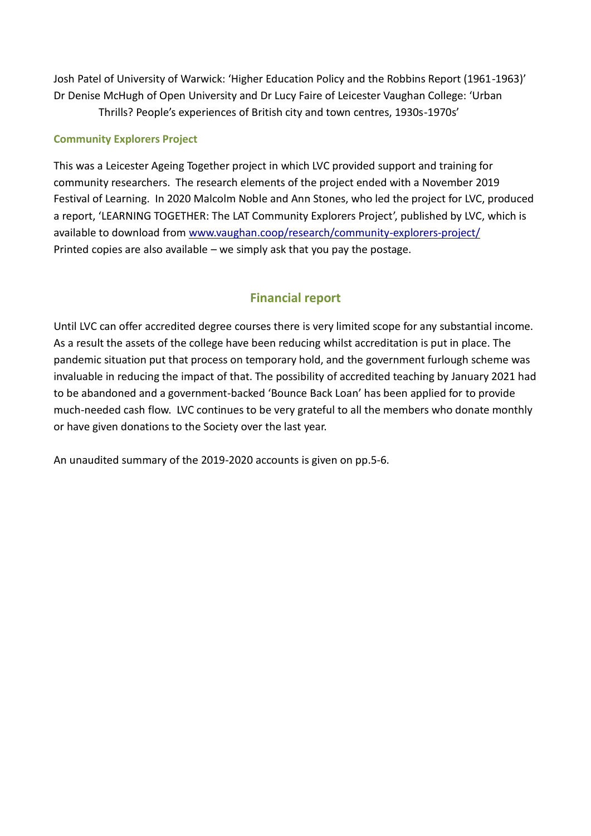Josh Patel of University of Warwick: 'Higher Education Policy and the Robbins Report (1961-1963)' Dr Denise McHugh of Open University and Dr Lucy Faire of Leicester Vaughan College: 'Urban Thrills? People's experiences of British city and town centres, 1930s-1970s'

#### **Community Explorers Project**

This was a Leicester Ageing Together project in which LVC provided support and training for community researchers. The research elements of the project ended with a November 2019 Festival of Learning. In 2020 Malcolm Noble and Ann Stones, who led the project for LVC, produced a report, 'LEARNING TOGETHER: The LAT Community Explorers Project', published by LVC, which is available to download from [www.vaughan.coop/research/community](http://www.vaughan.coop/research/community-explorers-project/)-explorers-project/ Printed copies are also available – we simply ask that you pay the postage.

## **Financial report**

Until LVC can offer accredited degree courses there is very limited scope for any substantial income. As a result the assets of the college have been reducing whilst accreditation is put in place. The pandemic situation put that process on temporary hold, and the government furlough scheme was invaluable in reducing the impact of that. The possibility of accredited teaching by January 2021 had to be abandoned and a government-backed 'Bounce Back Loan' has been applied for to provide much-needed cash flow. LVC continues to be very grateful to all the members who donate monthly or have given donations to the Society over the last year.

An unaudited summary of the 2019-2020 accounts is given on pp.5-6.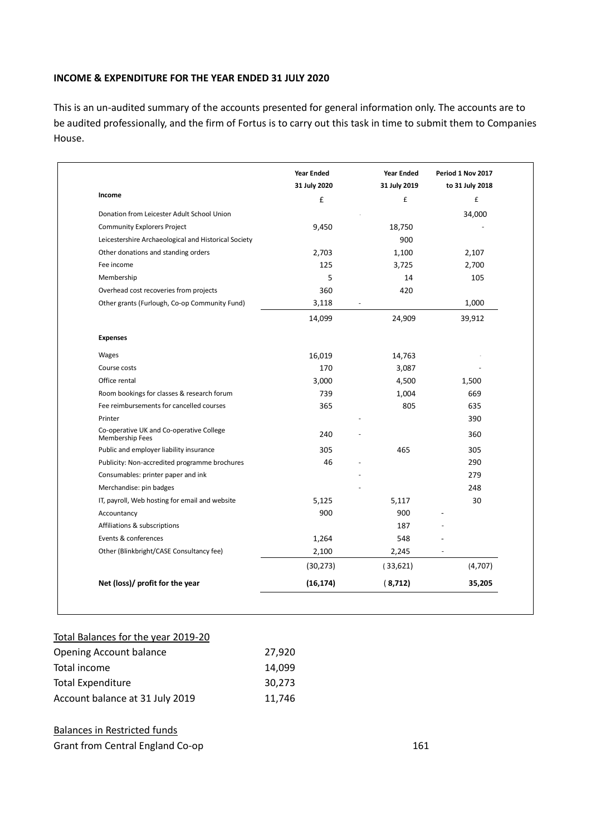#### **INCOME & EXPENDITURE FOR THE YEAR ENDED 31 JULY 2020**

This is an un-audited summary of the accounts presented for general information only. The accounts are to be audited professionally, and the firm of Fortus is to carry out this task in time to submit them to Companies House.

|                                                             | <b>Year Ended</b> | <b>Year Ended</b> | Period 1 Nov 2017 |
|-------------------------------------------------------------|-------------------|-------------------|-------------------|
|                                                             | 31 July 2020      | 31 July 2019      | to 31 July 2018   |
| Income                                                      | £                 | £                 | £                 |
| Donation from Leicester Adult School Union                  |                   |                   | 34,000            |
| <b>Community Explorers Project</b>                          | 9,450             | 18,750            |                   |
| Leicestershire Archaeological and Historical Society        |                   | 900               |                   |
| Other donations and standing orders                         | 2,703             | 1,100             | 2,107             |
| Fee income                                                  | 125               | 3,725             | 2,700             |
| Membership                                                  | 5                 | 14                | 105               |
| Overhead cost recoveries from projects                      | 360               | 420               |                   |
| Other grants (Furlough, Co-op Community Fund)               | 3,118             |                   | 1,000             |
|                                                             | 14,099            | 24,909            | 39,912            |
| <b>Expenses</b>                                             |                   |                   |                   |
| Wages                                                       | 16,019            | 14,763            |                   |
| Course costs                                                | 170               | 3,087             |                   |
| Office rental                                               | 3,000             | 4,500             | 1,500             |
| Room bookings for classes & research forum                  | 739               | 1,004             | 669               |
| Fee reimbursements for cancelled courses                    | 365               | 805               | 635               |
| Printer                                                     |                   |                   | 390               |
| Co-operative UK and Co-operative College<br>Membership Fees | 240               |                   | 360               |
| Public and employer liability insurance                     | 305               | 465               | 305               |
| Publicity: Non-accredited programme brochures               | 46                |                   | 290               |
| Consumables: printer paper and ink                          |                   |                   | 279               |
| Merchandise: pin badges                                     |                   |                   | 248               |
| IT, payroll, Web hosting for email and website              | 5,125             | 5,117             | 30                |
| Accountancy                                                 | 900               | 900               |                   |
| Affiliations & subscriptions                                |                   | 187               |                   |
| Events & conferences                                        | 1,264             | 548               |                   |
| Other (Blinkbright/CASE Consultancy fee)                    | 2,100             | 2,245             |                   |
|                                                             | (30, 273)         | (33,621)          | (4,707)           |
| Net (loss)/ profit for the year                             | (16, 174)         | (8,712)           | 35,205            |

#### Total Balances for the year 2019-20

| <b>Opening Account balance</b>  | 27,920 |
|---------------------------------|--------|
| Total income                    | 14.099 |
| <b>Total Expenditure</b>        | 30.273 |
| Account balance at 31 July 2019 | 11,746 |

#### Balances in Restricted funds

Grant from Central England Co-op 161